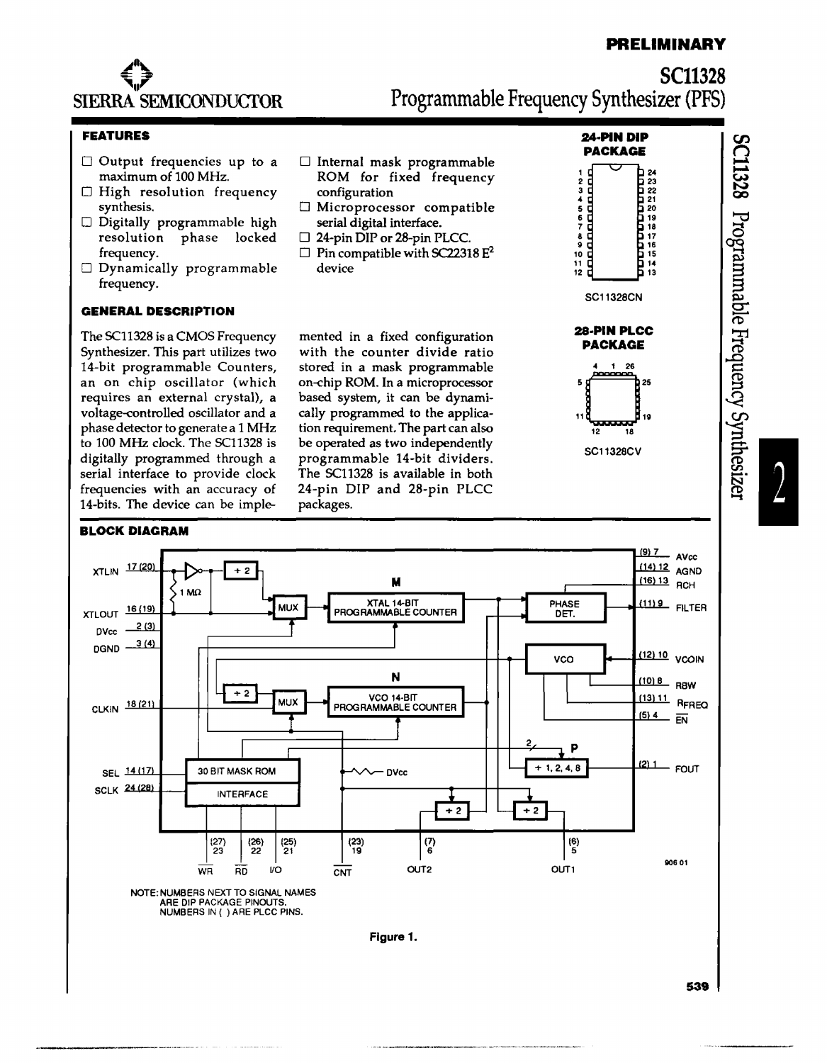# **PRELIMINARY**

**SC11328** 

 $_{\rm 100}^{\rm 100}$ 

 $r_{\rm{sum}}$ nmable

 $\Xi$ 

nency  $\mathbf{\tilde{e}}$ 

ynthesiz

~

I



**SC11328**  Programmable Frequency Synthesizer (PFS)

## **FEATURES**

- $\Box$  Output frequencies up to a maximum of 100 MHz.
- D High resolution frequency synthesis.
- D Digitally programmable high resolution phase locked frequency.
- $\Box$  Dynamically programmable frequency.

## **GENERAL DESCRIPTION**

The SC11328 is a CMOS Frequency Synthesizer. This part utilizes two 14-bit programmable Counters, an on chip oscillator (which requires an external crystal), a voltage~ontrolled oscillator and a phase detector to generate a 1 MHz to 100 MHz clock. The SCl1328 is digitally programmed through a serial interface to provide clock frequencies with an accuracy of 14-bits. The device can be imple-

#### **BLOCK DIAGRAM**

- D Internal mask programmable ROM for fixed frequency configuration
- D Microprocessor compatible serial digital interface.
- □ 24-pin DIP or 28-pin PLCC.
- $\Box$  Pin compatible with SC22318 E<sup>2</sup> device

mented in a fixed configuration with the counter divide ratio stored in a mask programmable on~hip ROM. In a microprocessor based system, it can be dynamically programmed to the application requirement. The part can also be operated as two independently programmable 14-bit dividers. The SCl1328 is available in both 24-pin DIP and 28-pin PLCC packages.





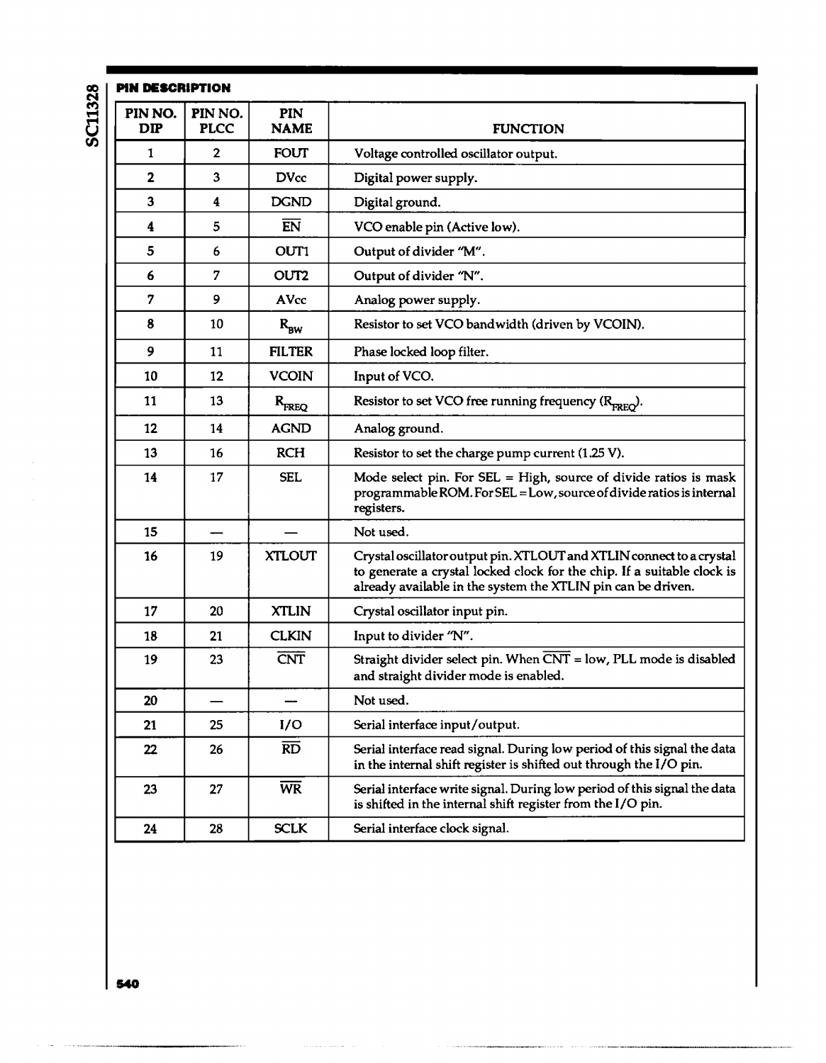| PIN DESCRIPTION |                        |                    |                                                                                                                                                                                                                 |
|-----------------|------------------------|--------------------|-----------------------------------------------------------------------------------------------------------------------------------------------------------------------------------------------------------------|
| PIN NO.<br>DIP  | PIN NO.<br><b>PLCC</b> | PIN<br><b>NAME</b> | <b>FUNCTION</b>                                                                                                                                                                                                 |
| 1               | 2                      | FOUT               | Voltage controlled oscillator output.                                                                                                                                                                           |
| 2               | 3                      | <b>DVcc</b>        | Digital power supply.                                                                                                                                                                                           |
| 3               | 4                      | <b>DGND</b>        | Digital ground.                                                                                                                                                                                                 |
| 4               | 5                      | EN                 | VCO enable pin (Active low).                                                                                                                                                                                    |
| 5               | 6                      | OUT1               | Output of divider "M".                                                                                                                                                                                          |
| 6               | 7                      | OUT2               | Output of divider "N".                                                                                                                                                                                          |
| 7               | 9                      | AVcc               | Analog power supply.                                                                                                                                                                                            |
| 8               | 10                     | $R_{BW}$           | Resistor to set VCO bandwidth (driven by VCOIN).                                                                                                                                                                |
| 9               | 11                     | <b>FILTER</b>      | Phase locked loop filter.                                                                                                                                                                                       |
| 10              | 12                     | VCOIN              | Input of VCO.                                                                                                                                                                                                   |
| 11              | 13                     | $R_{\text{FREG}}$  | Resistor to set VCO free running frequency (R <sub>FREO</sub> ).                                                                                                                                                |
| 12              | 14                     | <b>AGND</b>        | Analog ground.                                                                                                                                                                                                  |
| 13              | 16                     | <b>RCH</b>         | Resistor to set the charge pump current (1.25 V).                                                                                                                                                               |
| 14              | 17                     | SEL                | Mode select pin. For $SEL = High$ , source of divide ratios is mask<br>programmable ROM. For SEL = Low, source of divide ratios is internal<br>registers.                                                       |
| 15              |                        |                    | Not used.                                                                                                                                                                                                       |
| 16              | 19                     | XTLOUT             | Crystal oscillator output pin. XTLOUT and XTLIN connect to a crystal<br>to generate a crystal locked clock for the chip. If a suitable clock is<br>already available in the system the XTLIN pin can be driven. |
| 17              | 20                     | <b>XTLIN</b>       | Crystal oscillator input pin.                                                                                                                                                                                   |
| 18              | 21                     | <b>CLKIN</b>       | Input to divider "N".                                                                                                                                                                                           |
| 19              | 23                     | CNT                | Straight divider select pin. When CNT = low, PLL mode is disabled<br>and straight divider mode is enabled.                                                                                                      |
| 20              |                        |                    | Not used.                                                                                                                                                                                                       |
| 21              | 25                     | I/O                | Serial interface input/output.                                                                                                                                                                                  |
| 22              | 26                     | <b>RD</b>          | Serial interface read signal. During low period of this signal the data<br>in the internal shift register is shifted out through the I/O pin.                                                                   |
| 23              | 27                     | <b>WR</b>          | Serial interface write signal. During low period of this signal the data<br>is shifted in the internal shift register from the I/O pin.                                                                         |
| 24              | 28                     | <b>SCLK</b>        | Serial interface clock signal.                                                                                                                                                                                  |
|                 |                        |                    |                                                                                                                                                                                                                 |

ı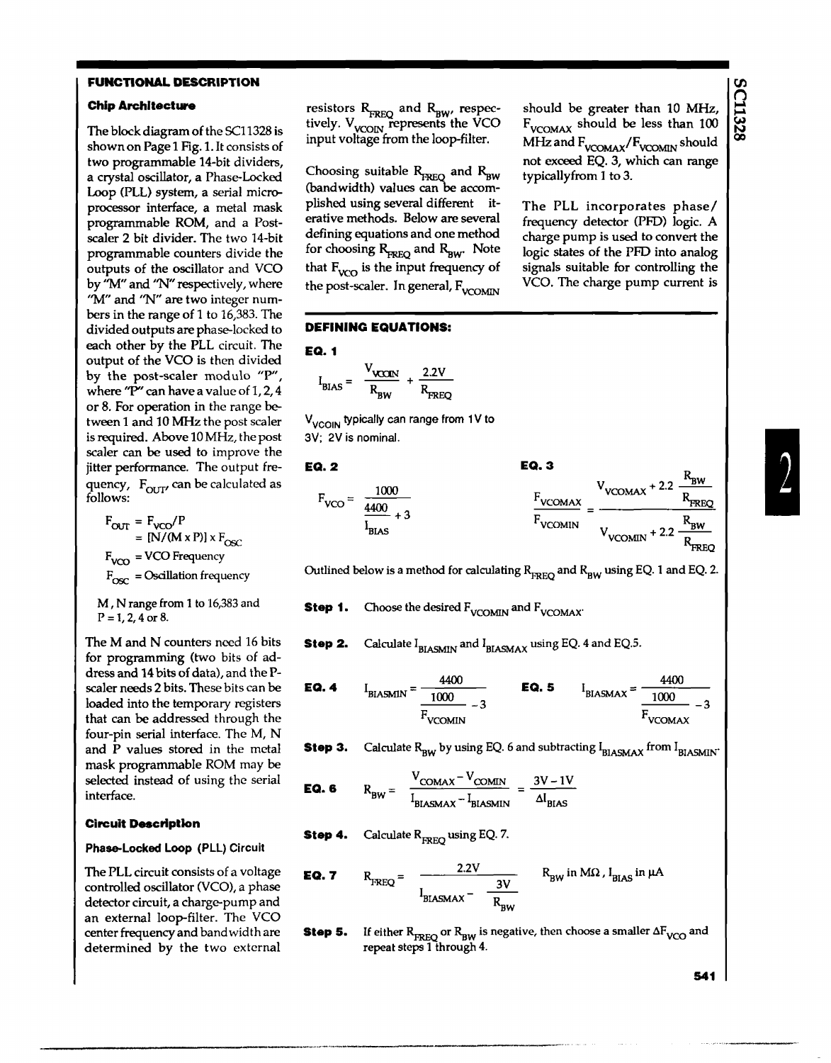#### **FUNCTIONAL DESCRIPTION**

## Chip Architecture

The block diagram of the SCl1328 is shown on Page 1 Fig. 1. It consists of two programmable 14-bit dividers, a crystal oscillator, a Phase-Locked Loop (PLL) system, a serial microprocessor interface, a metal mask programmable ROM, and a Postscaler 2 bit divider. The two 14-bit programmable counters divide the outputs of the oscillator and VCO by "M" and "N" respectively, where "M" and "N" are two integer numbers in the range of 1 to 16,383. The divided outputs are phase-locked to each other by the PLL circuit. The output of the VCO is then divided by the post-scaler modulo "P", where "P" can have a value of 1, 2, 4 or 8. For operation in the range between 1 and 10 MHz the post scaler is required. Above 10 MHz, the post scaler can be used to improve the jitter performance. The output frequency,  $F_{\text{OUT}}$  can be calculated as follows:

 $F<sub>OUT</sub> = F<sub>VCO</sub>/P$  $=$  [N/(M x P)] x F<sub>osc</sub>  $F_{VCO}$  = VCO Frequency  $F_{\text{osc}}$  = Oscillation frequency

M, N range from 1 to 16,383 and  $P = 1, 2, 4$  or 8.

The M and N counters need 16 bits for programming (two bits of address and 14 bits of data), and the Pscaler needs 2 bits. These bits can be loaded into the temporary registers that can be addressed through the four-pin serial interface. The M, N and P values stored in the metal mask programmable ROM may be selected instead of using the serial interface.

#### **Circuit Description**

## Phase-Locked Loop (PLl) Circuit

The PLL circuit consists of a voltage controlled oscillator (VCO), a phase detector circuit, a charge-pump and an external loop-filter. The VCO center frequency and band width are determined by the two external

resistors R<sub>FREQ</sub> and R<sub>BW</sub>, respec-<br>tively. V<sub>VCOIN</sub> represents the VCO input voltage from the loop-filter.

Choosing suitable  $R_{\text{FREG}}$  and  $R_{\text{BW}}$  $(bandwidth)$  values can be accomplished using several different iterative methods. Below are several defining equations and one method for choosing  $R_{\text{RFG}}$  and  $R_{\text{RW}}$ . Note that  $F_{VCO}$  is the input frequency of the post-scaler. In general,  $F_{VOMM}$ 

## DEFINING EQUATIONS:

$$
EQ. 1
$$

$$
I_{\text{BIAS}} = \frac{V_{\text{VCCIN}}}{R_{\text{BW}}} + \frac{2.2V}{R_{\text{FREG}}}
$$

V<sub>VCOIN</sub> typically can range from 1V to 3V; 2V is nominal.

#### EQ.2

$$
F_{\text{VCO}} = \frac{1000}{\frac{4400}{I_{\text{BLAS}}} + 3}
$$
  

$$
F_{\text{VCOMAN}} = \frac{V_{\text{VCOMAX}} + 2.2 \frac{R_{\text{BW}}}{R_{\text{FREG}}}}{V_{\text{VCOMIN}} + 2.2 \frac{R_{\text{BW}}}{R_{\text{FREG}}}}
$$

EQ.3

Outlined below is a method for calculating  $R_{\text{RRG}}$  and  $R_{\text{RW}}$  using EQ. 1 and EQ. 2.

Step 1. Choose the desired  $F_{VCCMMN}$  and  $F_{VCCMMN}$ 

Step 2. Calculate  $I_{BIASMIN}$  and  $I_{BIASMAX}$  using EQ. 4 and EQ.5.

**EQ. 4** 
$$
I_{\text{BIASMIN}} = \frac{4400}{\frac{1000}{F_{\text{VCOMIN}}}} - 3
$$
 **EQ. 5**  $I_{\text{BIASMAX}} = \frac{4400}{\frac{1000}{F_{\text{VCOMAX}}}} - 3$ 

Step 3. Calculate  $R_{BW}$  by using EQ. 6 and subtracting  $I_{BIASMAX}$  from  $I_{BIASMIN}$ .

**EQ. 6** 
$$
R_{BW} = \frac{V_{COMAX} - V_{COMIN}}{I_{BIASMAX} - I_{BIASMIN}} = \frac{3V - 1V}{\Delta I_{BIAS}}
$$

**Step 4.** Calculate 
$$
R_{\text{ERFO}}
$$
 using EQ. 7.

**EQ. 7** 
$$
R_{\text{FREG}} = \frac{2.2V}{I_{\text{BIASMAX}} - \frac{3V}{R_{\text{BW}}}}
$$
  $R_{\text{BW}}$  in MΩ,  $I_{\text{BIAS}}$  in  $\mu$ A

Step 5. If either  ${\rm R_{REQ}}$  or  ${\rm R_{BW}}$  is negative, then choose a smaller  ${\Delta \rm F_{VCO}}$  and repeat steps 1 through 4.

should be greater than 10 MHz, F<sub>VCOMAX</sub> should be less than 100 MHz and F<sub>VCOMAX</sub>/F<sub>VCOMIN</sub> should not exceed EQ. 3, which can range typicallyfrom I to 3.

The PLL incorporates phase/ frequency detector (PFD) logic. A charge pump is used to convert the logic states of the PFD into analog signals suitable for controlling the VCO. The charge pump current is

 $\mathbf{p}$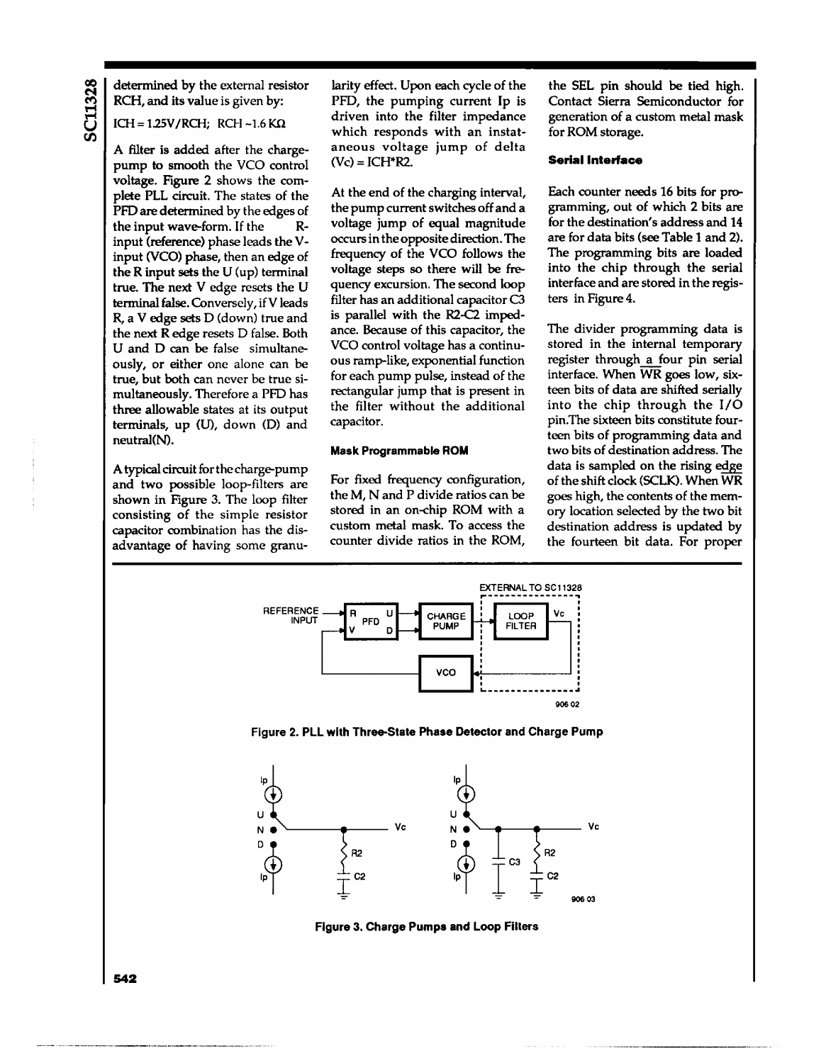determined by the external resistor RCH, and its value is given by:

## $ICH = 1.25V/RCH$ ; RCH ~1.6 KΩ

A filter is added after the chargepump to smooth the VCO control voltage. Figure 2 shows the complete PLL circuit. The states of the PFD are determined by the edges of the input wave-form. If the Rinput (reference) phase leads the Vinput (YCO) phase, then an edge of the R input sets the U (up) terminal true. The next V edge resets the U terminal false. Conversely, if V leads R, a V edge sets D (down) true and the next R edge resets D false. Both U and D can be false simultaneously, or either one alone can be true, but both can never be true simultaneously. Therefore a PFD has three allowable states at its output terminals, up (U), down (D) and neutral(N).

A typical circuit for the charge-pump and two possible loop-filters are shown in Figure 3. The loop filter consisting of the simple resistor capacitor combination has the disadvantage of having some granularity effect. Upon each cycle of the PFD, the pumping current Ip is driven into the filter impedance which responds with an instataneous voltage jump of delta (Vc) = ICH·R2.

At the end of the charging interval, the pump current switches off and a voltage jump of equal magnitude occurs in the opposite direction. The frequency of the VCO follows the voltage steps so there will be frequency excursion. The second loop filter has an additional capacitor C3 is parallel with the R2-C2 impedance. Because of this capacitor, the VCO control voltage has a continuous ramp-like, exponential function for each pump pulse, instead of the rectangular jump that is present in the filter without the additional capacitor.

## Mask Programmable ROM

For fixed frequency configuration, the M, Nand P divide ratios can be stored in an on-chip ROM with a custom metal mask. To access the counter divide ratios in the ROM,

the SEL pin should be tied high. Contact Sierra Semiconductor for generation of a custom metal mask for ROM storage.

#### **Serial Interface**

Each counter needs 16 bits for programming, out of which 2 bits are for the destination's address and 14 are for data bits (see Table 1 and 2). The programming bits are loaded into the chip through the serial interface and are stored in the registers in Figure 4.

The divider programming data is stored in the internal temporary register through a four pin serial interface. When WR goes low, sixteen bits of data are shifted serially into the chip through the I/O pin.The sixteen bits constitute fourteen bits of programming data and two bits of destination address. The data is sampled on the rising edge of the shift clock (SCLK). When WR goes high, the contents of the memory location selected by the two bit destination address is updated by the fourteen bit data. For proper



Figure 2. PLL with Three-State Phase Detector and Charge Pump



Figure 3. Charge Pumps and Loop Filters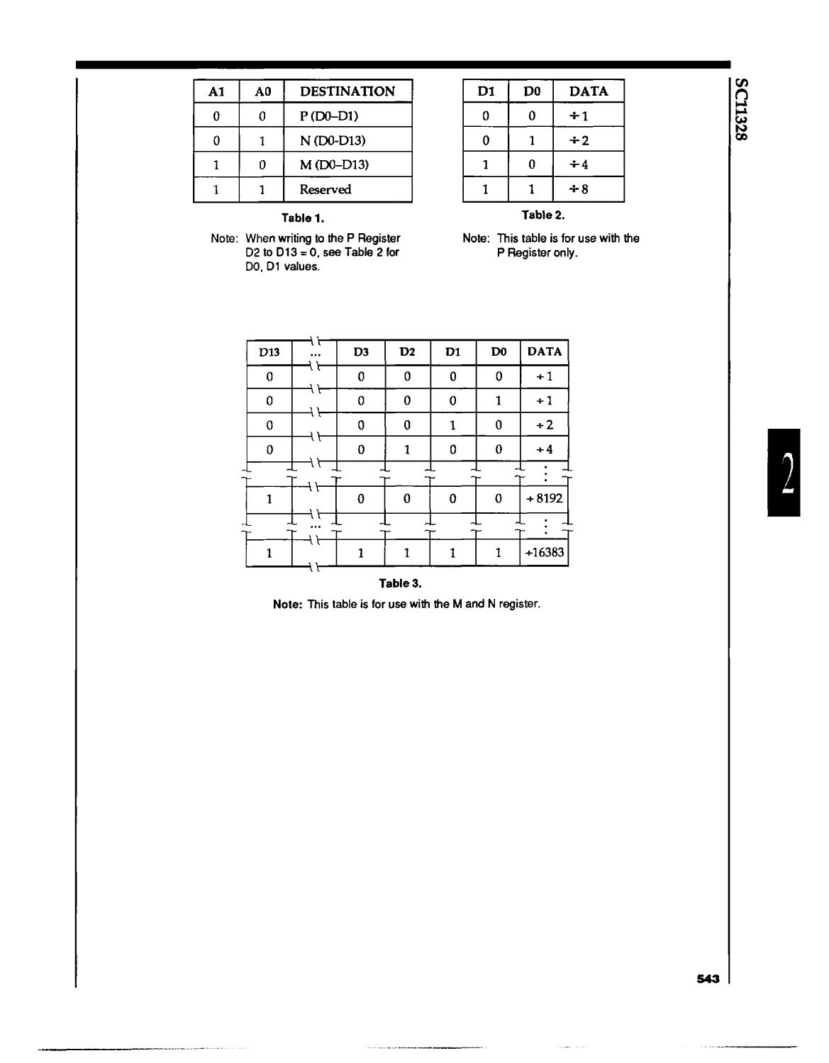| A1 | A0 | <b>DESTINATION</b> |
|----|----|--------------------|
| 0  | 0  | $P(D0-D1)$         |
| Ω  |    | N (D0-D13)         |
|    | n  | $M(D0-D13)$        |
|    |    | Reserved           |

| D1       | D <sub>0</sub> | <b>DATA</b> |  |  |
|----------|----------------|-------------|--|--|
| 0        | 0              | $\div 1$    |  |  |
| 0        |                | $\div 2$    |  |  |
| 1        | 0              | $\div 4$    |  |  |
|          |                | $+8$        |  |  |
| Table 2. |                |             |  |  |

Table 1.

Note: When writing to the P Register D2 to D13 = 0, see Table 2 for DO, D1 values.

Note: This table is for use with the P Register only.

| D13 | 1 F      | D <sub>3</sub> | D2 | D1 | D <sub>0</sub> | <b>DATA</b> |
|-----|----------|----------------|----|----|----------------|-------------|
| 0   |          | 0              | 0  | 0  | 0              | $+1$        |
| 0   | t        | 0              | 0  | 0  | 1              | $+1$        |
| 0   |          | 0              | 0  |    | 0              | $+2$        |
| 0   | l l      | 0              | 1  | 0  | $\bf{0}$       | $+4$        |
|     | t        |                |    |    |                |             |
| 1   |          | $\bf{0}$       | 0  | 0  | 0              | $+8192$     |
|     | $\cdots$ |                |    |    |                |             |
|     |          |                |    |    |                | $+16383$    |

## Table 3.

ر<br>محمد محمد المحمد

Note: This table is for use with the M and N register.

I

# **SC11328**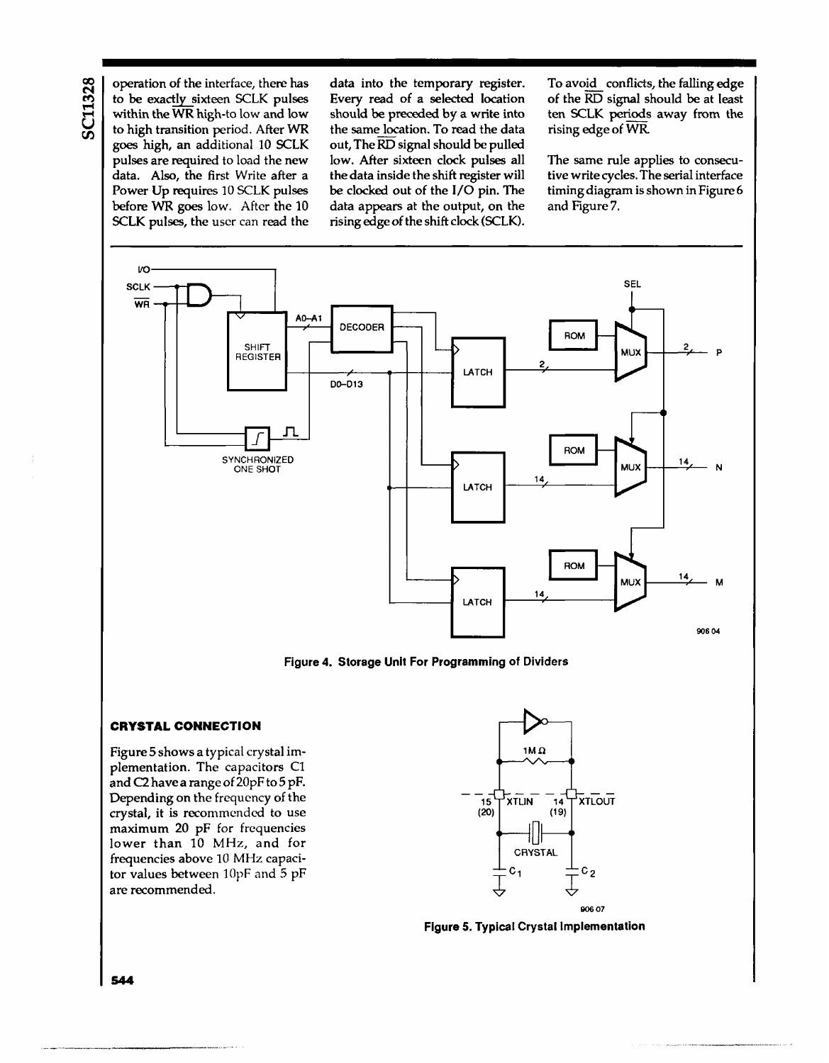operation of the interface, there has to be exactly sixteen SCLK pulses within the  $\overline{\text{WR}}$  high-to low and low to high transition period. After WR goes high, an additional 10 SCLK pulses are required to load the new data. Also, the first Write after a Power Up requires 10 SCLK pulses before WR goes low. After the 10 SCLK pulses, the user can read the data into the temporary register. Every read of a selected location should be preceded by a write into the same location. To read the data out, The RD signal should be pulled low. After sixteen clock pulses all the data inside the shift register will be clocked out of the I/O pin. The data appears at the output, on the rising edge of the shift clock (SCLK).

To avoid conflicts, the falling edge of the  $\overline{\text{RD}}$  signal should be at least ten SCLK periods away from the rising edge of WR

The same rule applies to consecutive write cycles. The serial interface timing diagram is shown in Figure 6 and Figure 7.



Figure 4. Storage Unit For Programming of Dividers

#### **CRYSTAL CONNECTION**

Figure 5 shows a typical crystal implementation. The capacitors C1 and C2 have a range of 20pF to 5 pF. Depending on the frequency of the crystal, it is recommended to use maximum 20 pF for frequencies lower than 10 MHz, and for frequencies above 10 MHz capacitor values between 10pF and 5 pF are recommended.



Figure 5. Typical Crystal Implementation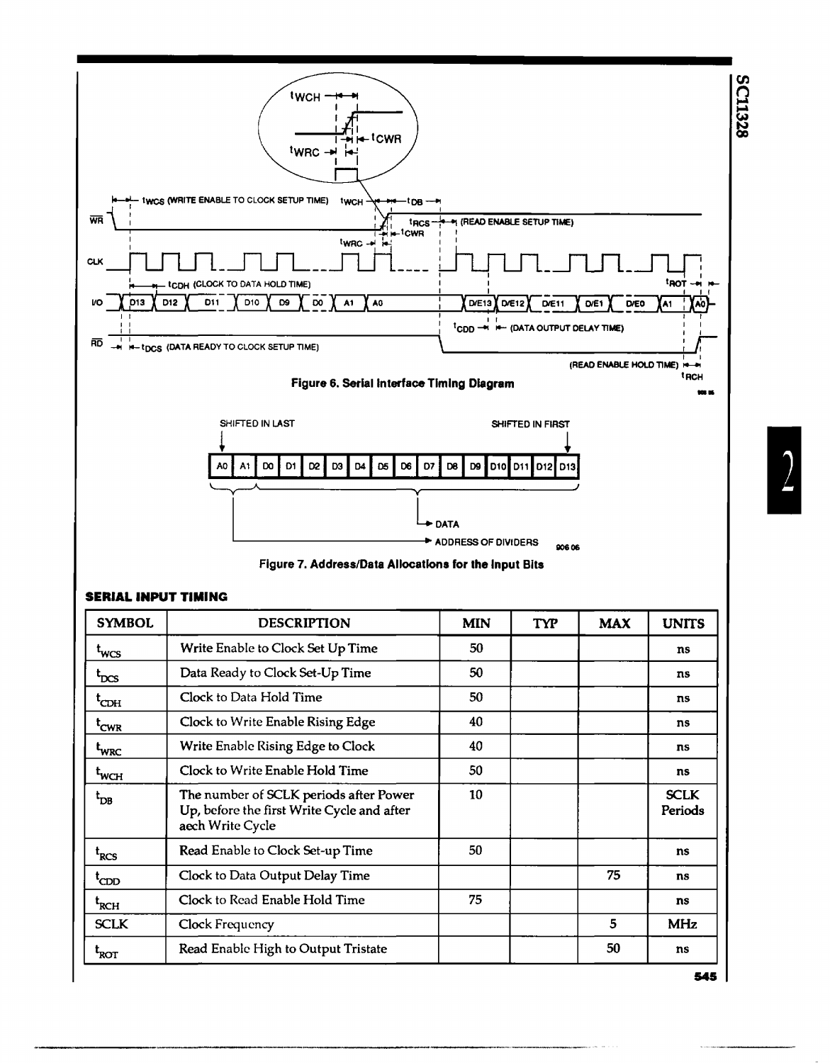